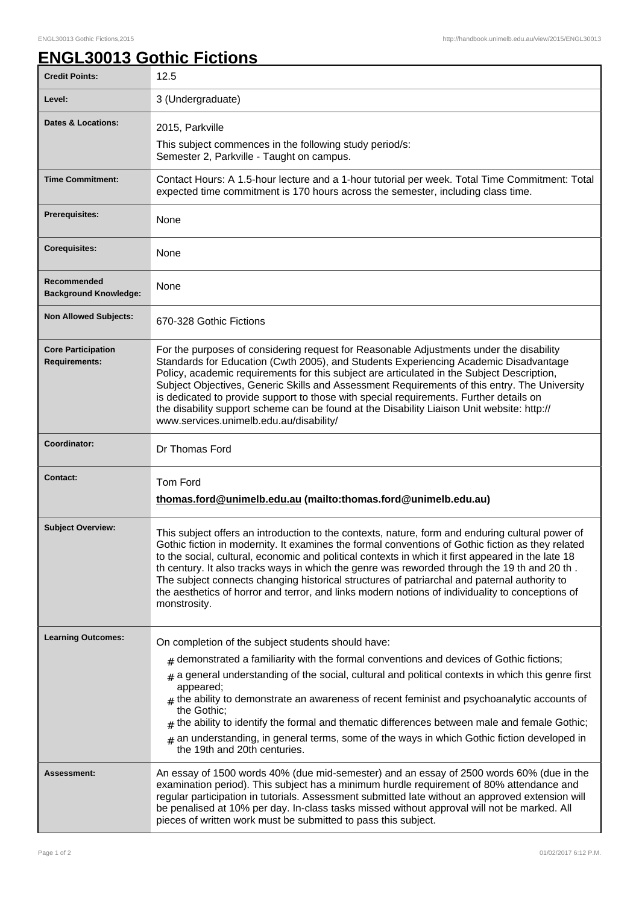## **ENGL30013 Gothic Fictions**

| <b>Credit Points:</b>                             | 12.5                                                                                                                                                                                                                                                                                                                                                                                                                                                                                                                                                                                                                            |
|---------------------------------------------------|---------------------------------------------------------------------------------------------------------------------------------------------------------------------------------------------------------------------------------------------------------------------------------------------------------------------------------------------------------------------------------------------------------------------------------------------------------------------------------------------------------------------------------------------------------------------------------------------------------------------------------|
| Level:                                            | 3 (Undergraduate)                                                                                                                                                                                                                                                                                                                                                                                                                                                                                                                                                                                                               |
| <b>Dates &amp; Locations:</b>                     | 2015, Parkville                                                                                                                                                                                                                                                                                                                                                                                                                                                                                                                                                                                                                 |
|                                                   | This subject commences in the following study period/s:<br>Semester 2, Parkville - Taught on campus.                                                                                                                                                                                                                                                                                                                                                                                                                                                                                                                            |
| <b>Time Commitment:</b>                           | Contact Hours: A 1.5-hour lecture and a 1-hour tutorial per week. Total Time Commitment: Total<br>expected time commitment is 170 hours across the semester, including class time.                                                                                                                                                                                                                                                                                                                                                                                                                                              |
| <b>Prerequisites:</b>                             | None                                                                                                                                                                                                                                                                                                                                                                                                                                                                                                                                                                                                                            |
| <b>Corequisites:</b>                              | None                                                                                                                                                                                                                                                                                                                                                                                                                                                                                                                                                                                                                            |
| Recommended<br><b>Background Knowledge:</b>       | None                                                                                                                                                                                                                                                                                                                                                                                                                                                                                                                                                                                                                            |
| <b>Non Allowed Subjects:</b>                      | 670-328 Gothic Fictions                                                                                                                                                                                                                                                                                                                                                                                                                                                                                                                                                                                                         |
| <b>Core Participation</b><br><b>Requirements:</b> | For the purposes of considering request for Reasonable Adjustments under the disability<br>Standards for Education (Cwth 2005), and Students Experiencing Academic Disadvantage<br>Policy, academic requirements for this subject are articulated in the Subject Description,<br>Subject Objectives, Generic Skills and Assessment Requirements of this entry. The University<br>is dedicated to provide support to those with special requirements. Further details on<br>the disability support scheme can be found at the Disability Liaison Unit website: http://<br>www.services.unimelb.edu.au/disability/                |
| Coordinator:                                      | Dr Thomas Ford                                                                                                                                                                                                                                                                                                                                                                                                                                                                                                                                                                                                                  |
| <b>Contact:</b>                                   | Tom Ford<br>thomas.ford@unimelb.edu.au (mailto:thomas.ford@unimelb.edu.au)                                                                                                                                                                                                                                                                                                                                                                                                                                                                                                                                                      |
| <b>Subject Overview:</b>                          | This subject offers an introduction to the contexts, nature, form and enduring cultural power of<br>Gothic fiction in modernity. It examines the formal conventions of Gothic fiction as they related<br>to the social, cultural, economic and political contexts in which it first appeared in the late 18<br>th century. It also tracks ways in which the genre was reworded through the 19 th and 20 th.<br>The subject connects changing historical structures of patriarchal and paternal authority to<br>the aesthetics of horror and terror, and links modern notions of individuality to conceptions of<br>monstrosity. |
| <b>Learning Outcomes:</b>                         | On completion of the subject students should have:<br>demonstrated a familiarity with the formal conventions and devices of Gothic fictions;<br>#<br>a general understanding of the social, cultural and political contexts in which this genre first<br>#<br>appeared;<br>$#$ the ability to demonstrate an awareness of recent feminist and psychoanalytic accounts of<br>the Gothic:<br>$#$ the ability to identify the formal and thematic differences between male and female Gothic;<br>$_{\#}$ an understanding, in general terms, some of the ways in which Gothic fiction developed in<br>the 19th and 20th centuries. |
| <b>Assessment:</b>                                | An essay of 1500 words 40% (due mid-semester) and an essay of 2500 words 60% (due in the<br>examination period). This subject has a minimum hurdle requirement of 80% attendance and<br>regular participation in tutorials. Assessment submitted late without an approved extension will<br>be penalised at 10% per day. In-class tasks missed without approval will not be marked. All<br>pieces of written work must be submitted to pass this subject.                                                                                                                                                                       |